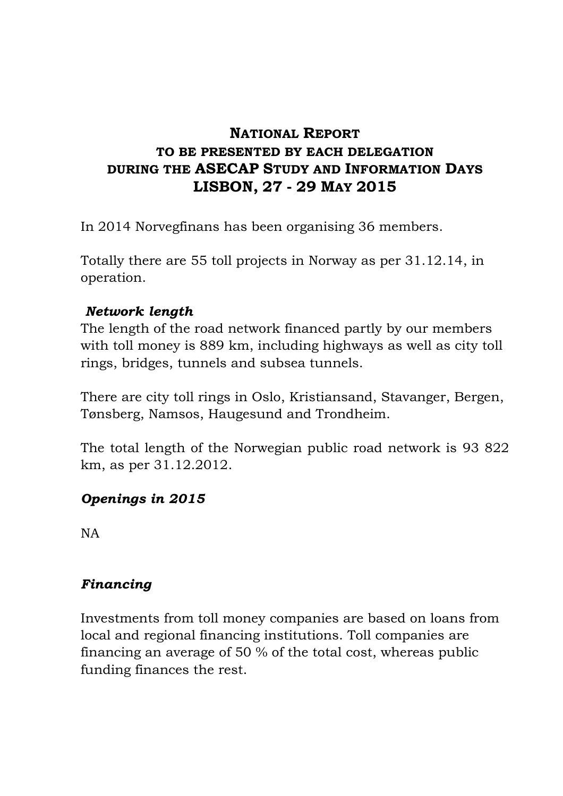## **NATIONAL REPORT TO BE PRESENTED BY EACH DELEGATION DURING THE ASECAP STUDY AND INFORMATION DAYS LISBON, 27 - 29 MAY 2015**

In 2014 Norvegfinans has been organising 36 members.

Totally there are 55 toll projects in Norway as per 31.12.14, in operation.

## *Network length*

The length of the road network financed partly by our members with toll money is 889 km, including highways as well as city toll rings, bridges, tunnels and subsea tunnels.

There are city toll rings in Oslo, Kristiansand, Stavanger, Bergen, Tønsberg, Namsos, Haugesund and Trondheim.

The total length of the Norwegian public road network is 93 822 km, as per 31.12.2012.

## *Openings in 2015*

NA

## *Financing*

Investments from toll money companies are based on loans from local and regional financing institutions. Toll companies are financing an average of 50 % of the total cost, whereas public funding finances the rest.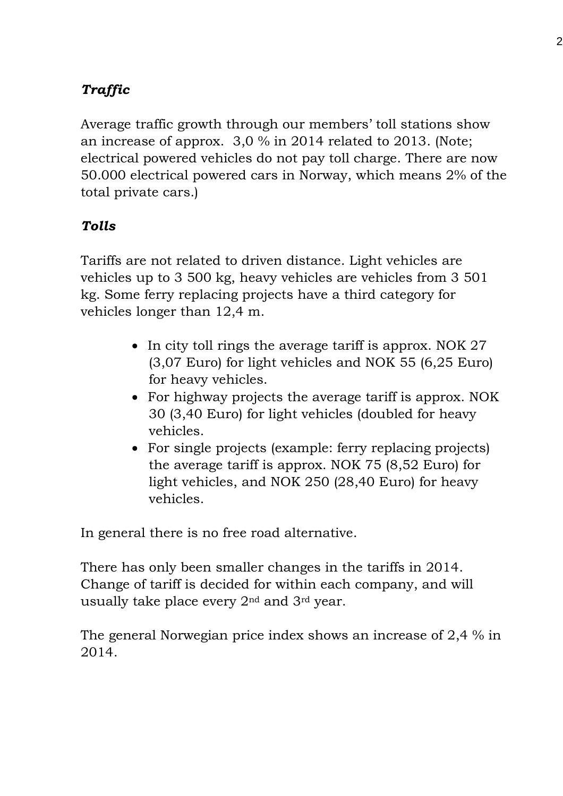# *Traffic*

Average traffic growth through our members' toll stations show an increase of approx. 3,0 % in 2014 related to 2013. (Note; electrical powered vehicles do not pay toll charge. There are now 50.000 electrical powered cars in Norway, which means 2% of the total private cars.)

## *Tolls*

Tariffs are not related to driven distance. Light vehicles are vehicles up to 3 500 kg, heavy vehicles are vehicles from 3 501 kg. Some ferry replacing projects have a third category for vehicles longer than 12,4 m.

- In city toll rings the average tariff is approx. NOK 27 (3,07 Euro) for light vehicles and NOK 55 (6,25 Euro) for heavy vehicles.
- For highway projects the average tariff is approx. NOK 30 (3,40 Euro) for light vehicles (doubled for heavy vehicles.
- For single projects (example: ferry replacing projects) the average tariff is approx. NOK 75 (8,52 Euro) for light vehicles, and NOK 250 (28,40 Euro) for heavy vehicles.

In general there is no free road alternative.

There has only been smaller changes in the tariffs in 2014. Change of tariff is decided for within each company, and will usually take place every 2nd and 3rd year.

The general Norwegian price index shows an increase of 2,4 % in 2014.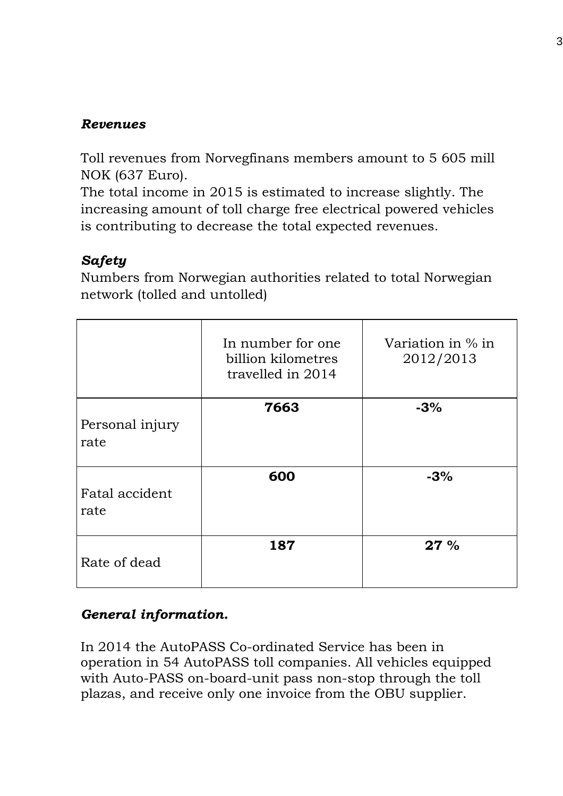#### *Revenues*

Toll revenues from Norvegfinans members amount to 5 605 mill NOK (637 Euro).

The total income in 2015 is estimated to increase slightly. The increasing amount of toll charge free electrical powered vehicles is contributing to decrease the total expected revenues.

## *Safety*

Numbers from Norwegian authorities related to total Norwegian network (tolled and untolled)

|                         | In number for one<br>billion kilometres<br>travelled in 2014 | Variation in $\%$ in<br>2012/2013 |
|-------------------------|--------------------------------------------------------------|-----------------------------------|
| Personal injury<br>rate | 7663                                                         | $-3%$                             |
| Fatal accident<br>rate  | 600                                                          | $-3%$                             |
| Rate of dead            | 187                                                          | 27%                               |

## *General information.*

In 2014 the AutoPASS Co-ordinated Service has been in operation in 54 AutoPASS toll companies. All vehicles equipped with Auto-PASS on-board-unit pass non-stop through the toll plazas, and receive only one invoice from the OBU supplier.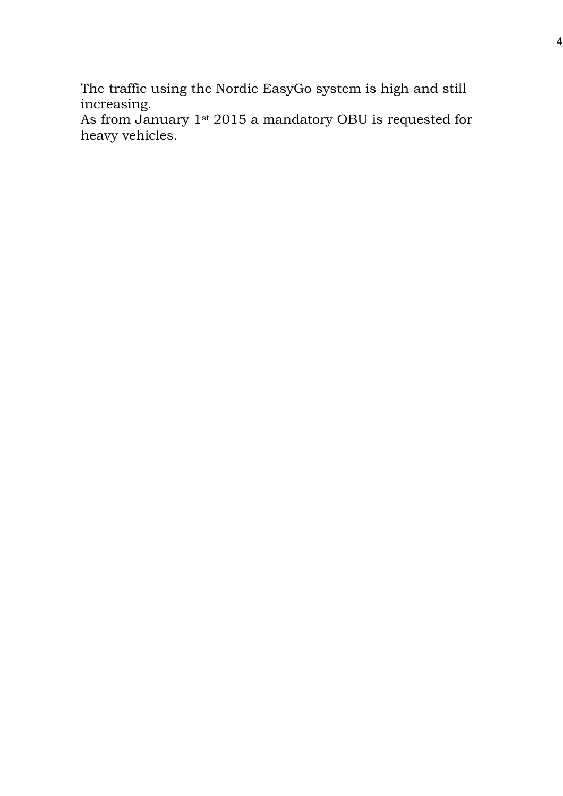The traffic using the Nordic EasyGo system is high and still increasing.

As from January 1st 2015 a mandatory OBU is requested for heavy vehicles.